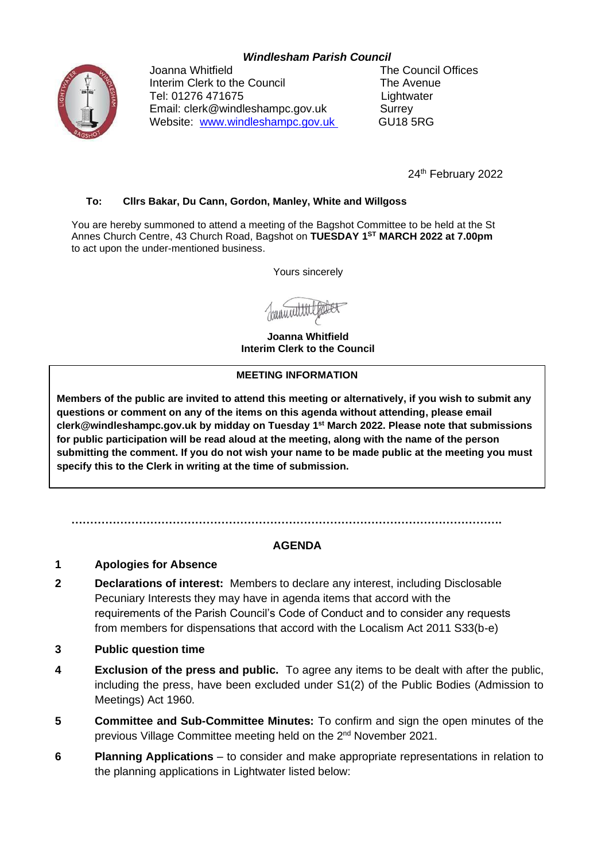# *Windlesham Parish Council*



Joanna Whitfield **The Council Offices** Interim Clerk to the Council The Avenue Tel: 01276 471675 Lightwater Email: clerk@windleshampc.gov.uk Surrey Website: [www.windleshampc.gov.uk](http://www.windleshampc.gov.uk/) GU18 5RG

24<sup>th</sup> February 2022

### **To: Cllrs Bakar, Du Cann, Gordon, Manley, White and Willgoss**

You are hereby summoned to attend a meeting of the Bagshot Committee to be held at the St Annes Church Centre, 43 Church Road, Bagshot on **TUESDAY 1 ST MARCH 2022 at 7.00pm** to act upon the under-mentioned business.

Yours sincerely

**Joanna Whitfield Interim Clerk to the Council**

#### **MEETING INFORMATION**

**Members of the public are invited to attend this meeting or alternatively, if you wish to submit any questions or comment on any of the items on this agenda without attending, please email clerk@windleshampc.gov.uk by midday on Tuesday 1 st March 2022. Please note that submissions for public participation will be read aloud at the meeting, along with the name of the person submitting the comment. If you do not wish your name to be made public at the meeting you must specify this to the Clerk in writing at the time of submission.**

# **AGENDA**

### **1 Apologies for Absence**

**2 Declarations of interest:** Members to declare any interest, including Disclosable Pecuniary Interests they may have in agenda items that accord with the requirements of the Parish Council's Code of Conduct and to consider any requests from members for dispensations that accord with the Localism Act 2011 S33(b-e)

**…………………………………………………………………………………………………….**

- **3 Public question time**
- **4 Exclusion of the press and public.** To agree any items to be dealt with after the public, including the press, have been excluded under S1(2) of the Public Bodies (Admission to Meetings) Act 1960.
- **5 Committee and Sub-Committee Minutes:** To confirm and sign the open minutes of the previous Village Committee meeting held on the 2<sup>nd</sup> November 2021.
- **6 Planning Applications** to consider and make appropriate representations in relation to the planning applications in Lightwater listed below: